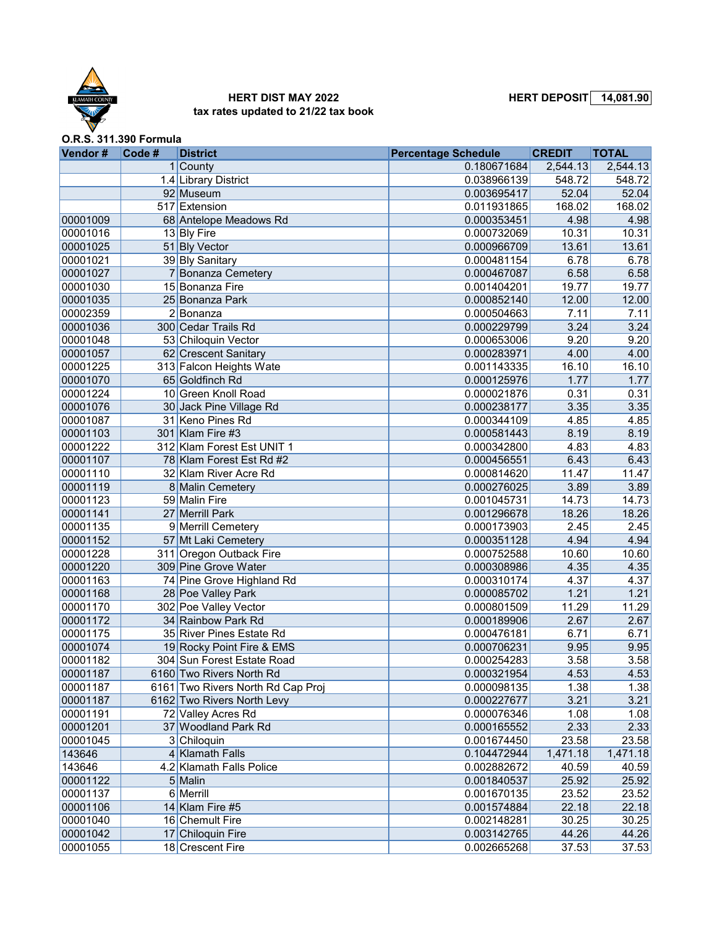

## **HERT DIST MAY 2022 HERT DEPOSIT 14,081.90 tax rates updated to 21/22 tax book**

**O.R.S. 311.390 Formula**

| Vendor#            | Code# | <b>District</b>                   | <b>Percentage Schedule</b> | <b>CREDIT</b> | <b>TOTAL</b> |
|--------------------|-------|-----------------------------------|----------------------------|---------------|--------------|
|                    |       | $1$ County                        | 0.180671684                | 2,544.13      | 2,544.13     |
|                    |       | 1.4 Library District              | 0.038966139                | 548.72        | 548.72       |
|                    |       | 92 Museum                         | 0.003695417                | 52.04         | 52.04        |
|                    |       | 517 Extension                     | 0.011931865                | 168.02        | 168.02       |
| 00001009           |       | 68 Antelope Meadows Rd            | 0.000353451                | 4.98          | 4.98         |
| 00001016           |       | 13 Bly Fire                       | 0.000732069                | 10.31         | 10.31        |
| 00001025           |       | 51 Bly Vector                     | 0.000966709                | 13.61         | 13.61        |
| 00001021           |       | 39 Bly Sanitary                   | 0.000481154                | 6.78          | 6.78         |
| 00001027           |       | 7 Bonanza Cemetery                | 0.000467087                | 6.58          | 6.58         |
| 00001030           |       | 15 Bonanza Fire                   | 0.001404201                | 19.77         | 19.77        |
| 00001035           |       | 25 Bonanza Park                   | 0.000852140                | 12.00         | 12.00        |
| 00002359           |       | $2 $ Bonanza                      | 0.000504663                | 7.11          | 7.11         |
| 00001036           |       | 300 Cedar Trails Rd               | 0.000229799                | 3.24          | 3.24         |
| 00001048           |       | 53 Chiloquin Vector               | 0.000653006                | 9.20          | 9.20         |
| 00001057           |       | 62 Crescent Sanitary              | 0.000283971                | 4.00          | 4.00         |
| 00001225           |       | 313 Falcon Heights Wate           | 0.001143335                | 16.10         | 16.10        |
| 00001070           |       | 65 Goldfinch Rd                   | 0.000125976                | 1.77          | 1.77         |
| 00001224           |       | 10 Green Knoll Road               | 0.000021876                | 0.31          | 0.31         |
| 00001076           |       | 30 Jack Pine Village Rd           | 0.000238177                | 3.35          | 3.35         |
| 00001087           |       | 31 Keno Pines Rd                  | 0.000344109                | 4.85          | 4.85         |
| 00001103           |       | 301 Klam Fire #3                  | 0.000581443                | 8.19          | 8.19         |
| 00001222           |       | 312 Klam Forest Est UNIT 1        | 0.000342800                | 4.83          | 4.83         |
| 00001107           |       | 78 Klam Forest Est Rd #2          | 0.000456551                | 6.43          | 6.43         |
| 00001110           |       | 32 Klam River Acre Rd             | 0.000814620                | 11.47         | 11.47        |
| 00001119           |       | 8 Malin Cemetery                  | 0.000276025                | 3.89          | 3.89         |
| 00001123           |       | 59 Malin Fire                     | 0.001045731                | 14.73         | 14.73        |
| 00001141           |       | 27 Merrill Park                   | 0.001296678                | 18.26         | 18.26        |
| 00001135           |       | 9 Merrill Cemetery                | 0.000173903                | 2.45          | 2.45         |
| 00001152           |       | 57 Mt Laki Cemetery               | 0.000351128                | 4.94          | 4.94         |
| 00001228           |       | 311 Oregon Outback Fire           | 0.000752588                | 10.60         | 10.60        |
| 00001220           |       | 309 Pine Grove Water              | 0.000308986                | 4.35          | 4.35         |
| 00001163           |       | 74 Pine Grove Highland Rd         | 0.000310174                | 4.37          | 4.37         |
| 00001168           |       | 28 Poe Valley Park                | 0.000085702                | 1.21          | 1.21         |
| 00001170           |       | 302 Poe Valley Vector             | 0.000801509                | 11.29         | 11.29        |
| 00001172           |       | 34 Rainbow Park Rd                | 0.000189906                | 2.67          | 2.67         |
| 00001175           |       | 35 River Pines Estate Rd          | 0.000476181                | 6.71          | 6.71         |
| 00001074           |       | 19 Rocky Point Fire & EMS         | 0.000706231                | 9.95          | 9.95         |
| 00001182           |       | 304 Sun Forest Estate Road        | 0.000254283                | 3.58          | 3.58         |
| 00001187           |       | 6160 Two Rivers North Rd          | 0.000321954                | 4.53          | 4.53         |
| 00001187           |       | 6161 Two Rivers North Rd Cap Proj | 0.000098135                | 1.38          | 1.38         |
| 00001187           |       | 6162 Two Rivers North Levy        | 0.000227677                | 3.21          | 3.21         |
| 00001191           |       | 72 Valley Acres Rd                |                            | 1.08          | 1.08         |
|                    |       | 37 Woodland Park Rd               | 0.000076346                | 2.33          |              |
| 00001201           |       |                                   | 0.000165552                |               | 2.33         |
| 00001045<br>143646 |       | 3 Chiloquin                       | 0.001674450                | 23.58         | 23.58        |
|                    |       | 4 Klamath Falls                   | 0.104472944                | 1,471.18      | 1,471.18     |
| 143646             |       | 4.2 Klamath Falls Police          | 0.002882672                | 40.59         | 40.59        |
| 00001122           |       | $5$ Malin                         | 0.001840537                | 25.92         | 25.92        |
| 00001137           |       | 6 Merrill                         | 0.001670135                | 23.52         | 23.52        |
| 00001106           |       | 14 Klam Fire #5                   | 0.001574884                | 22.18         | 22.18        |
| 00001040           |       | 16 Chemult Fire                   | 0.002148281                | 30.25         | 30.25        |
| 00001042           |       | 17 Chiloquin Fire                 | 0.003142765                | 44.26         | 44.26        |
| 00001055           |       | 18 Crescent Fire                  | 0.002665268                | 37.53         | 37.53        |